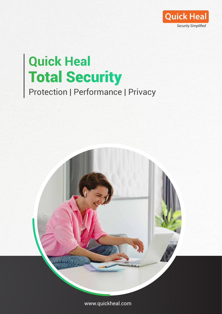

## **Quick Heal Total Security** Protection | Performance | Privacy



www.quickheal.com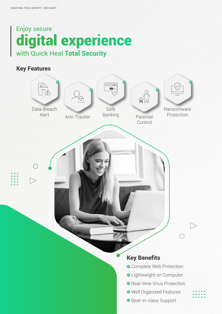# **Enjoy secure digital experience**

## Key Features

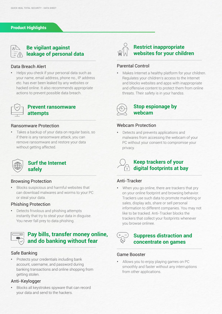#### Product Highlights

| . .<br>_ |  |
|----------|--|
|          |  |
|          |  |

#### **Be vigilant against leakage of personal data**

#### Data Breach Alert

**•** Helps you check if your personal data such as your name, email address, phone no., IP address etc. has ever been leaked by any websites or hacked online. It also recommends appropriate actions to prevent possible data breach.



#### **Prevent ransomware attempts**

#### Ransomware Protection

**•** Takes a backup of your data on regular basis, so if there is any ransomware attack, you can remove ransomware and restore your data without getting affected.



#### **Surf the Internet safely**

#### Browsing Protection

**•** Blocks suspicious and harmful websites that can download malwares and worms to your PC or steal your data.

#### Phishing Protection

**•** Detects frivolous and phishing attempts instantly that try to steal your data in disguise. You never fall prey to data phishing.



#### Safe Banking

**•** Protects your credentials including bank account, username, and password during banking transactions and online shopping from getting stolen.

#### Anti-Keylogger

**•** Blocks all keystrokes spyware that can record your data and send to the hackers.



#### Parental Control

**•** Makes Internet a healthy platform for your children. Regulates your children's access to the Internet and blocks websites and apps with inappropriate and offensive content to protect them from online threats. Their safety is in your handss.



#### **Stop espionage by webcam**

#### Webcam Protection

**•** Detects and prevents applications and malwares from accessing the webcam of your PC without your consent to compromise your privacy.



#### **Keep trackers of your digital footprints at bay**

#### Anti-Tracker

**•** When you go online, there are trackers that pry on your online footprint and browsing behavior. Trackers use such data to promote marketing or sales, display ads, share or sell personal information to different companies. You may not like to be tracked. Anti-Tracker blocks the trackers that collect your footprints whenever you browse onlinee.

#### **Suppress distraction and concentrate on games**

#### Game Booster

**•** Allows you to enjoy playing games on PC smoothly and faster without any interruptions from other applications.